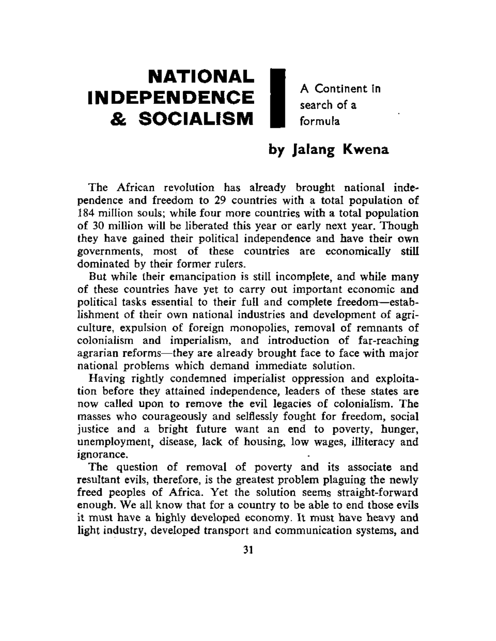# **NATIONAL** | INDEPENDENCE  $A$  Continent in **& SOCIALISM**  $\blacksquare$  formula & **SOCIALISM** | formula

## by Jalang Kwena

The African revolution has already brought national independence and freedom to 29 countries with a total population of 184 million souls; while four more countries with a total population of 30 million will be liberated this year or early next year. Though they have gained their political independence and have their own governments, most of these countries are economically still dominated by their former rulers.

But while their emancipation is still incomplete, and while many of these countries have yet to carry out important economic and political tasks essential to their full and complete freedom—establishment of their own national industries and development of agriculture, expulsion of foreign monopolies, removal of remnants of colonialism and imperialism, and introduction of far-reaching agrarian reforms—they are already brought face to face with major national problems which demand immediate solution.

Having rightly condemned imperialist oppression and exploitation before they attained independence, leaders of these states are now called upon to remove the evil legacies of colonialism. The masses who courageously and selflessly fought for freedom, social justice and a bright future want an end to poverty, hunger, unemployment, disease, lack of housing, low wages, illiteracy and ignorance.

The question of removal of poverty and its associate and resultant evils, therefore, is the greatest problem plaguing the newly freed peoples of Africa. Yet the solution seems straight-forward enough. We all know that for a country to be able to end those evils it must have a highly developed economy. It must have heavy and light industry, developed transport and communication systems, and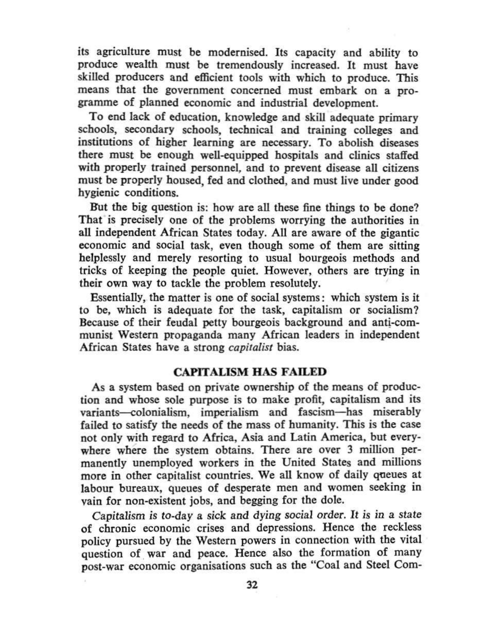its agriculture must be modernised. Its capacity and ability to produce wealth must be tremendously increased. It must have skilled producers and efficient tools with which to produce. This means that the government concerned must embark on a programme of planned economic and industrial development.

To end lack of education, knowledge and skill adequate primary schools, secondary schools, technical and training colleges and institutions of higher learning are necessary. To abolish diseases there must be enough well-equipped hospitals and clinics staffed with properly trained personnel, and to prevent disease all citizens must be properly housed, fed and clothed, and must live under good hygienic conditions.

But the big question is: how are all these fine things to be done? That is precisely one of the problems worrying the authorities in all independent African States today. All are aware of the gigantic economic and social task, even though some of them are sitting helplessly and merely resorting to usual bourgeois methods and tricks of keeping the people quiet. However, others are trying in their own way to tackle the problem resolutely.

Essentially, the matter is one of social systems: which system is it to be, which is adequate for the task, capitalism or socialism? Because of their feudal petty bourgeois background and anti-communist Western propaganda many African leaders in independent African States have a strong *capitalist* bias.

### **CAPITALISM HAS FAILED**

As a system based on private ownership of the means of production and whose sole purpose is to make profit, capitalism and its variants—colonialism, imperialism and fascism—has miserably failed to satisfy the needs of the mass of humanity. This is the case not only with regard to Africa, Asia and Latin America, but everywhere where the system obtains. There are over 3 million permanently unemployed workers in the United States and millions more in other capitalist countries. We all know of daily queues at labour bureaux, queues of desperate men and women seeking in vain for non-existent jobs, and begging for the dole.

Capitalism is to-day a sick and dying social order. It is in a state of chronic economic crises and depressions. Hence the reckless policy pursued by the Western powers in connection with the vital question of war and peace. Hence also the formation of many post-war economic organisations such as the "Coal and Steel Com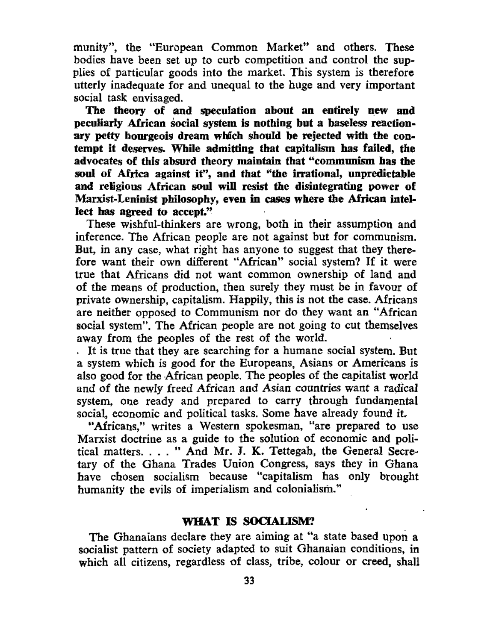munity", the "European Common Market" and others. These bodies have been set up to curb competition and control the supplies of particular goods into the market. This system is therefore utterly inadequate for and unequal to the huge and very important social task envisaged.

The theory of and speculation about an entirely new and peculiarly African social system is nothing but a baseless reactionary petty bourgeois dream which should be rejected with the contempt it deserves. While admitting that capitalism has failed, the advocates of this absurd theory maintain that "communism has the soul of Africa against it", and that "the irrational, unpredictable and religious African soul will resist the disintegrating power of Marxist-Leninist philosophy, even in cases where the African intellect has agreed to accept."

These wishful-thinkers are wrong, both in their assumption and inference. The African people are not against but for communism. But, in any case, what right has anyone to suggest that they therefore want their own different "African" social system? If it were true that Africans did not want common ownership of land and of the means of production, then surely they must be in favour of private ownership, capitalism. Happily, this is not the case. Africans are neither opposed to Communism nor do they want an "African social system". The African people are not going to cut themselves away from the peoples of the rest of the world.

It is true that they are searching for a humane social system. But a system which is good for the Europeans, Asians or Americans is also good for the African people. The peoples of the capitalist world and of the newly freed African and Asian countries want a radical system, one ready and prepared to carry through fundamental social, economic and political tasks. Some have already found it.

"Africans," writes a Western spokesman, "are prepared to use Marxist doctrine as a guide to the solution of economic and political matters. ... " And Mr. J. K. Tettegah, the General Secretary of the Ghana Trades Union Congress, says they in Ghana have chosen socialism because "capitalism has only brought humanity the evils of imperialism and colonialism."

#### WHAT IS SOCIALISM?

The Ghanaians declare they are aiming at "a state based upon a socialist pattern of society adapted to suit Ghanaian conditions, in which all citizens, regardless of class, tribe, colour or creed, shall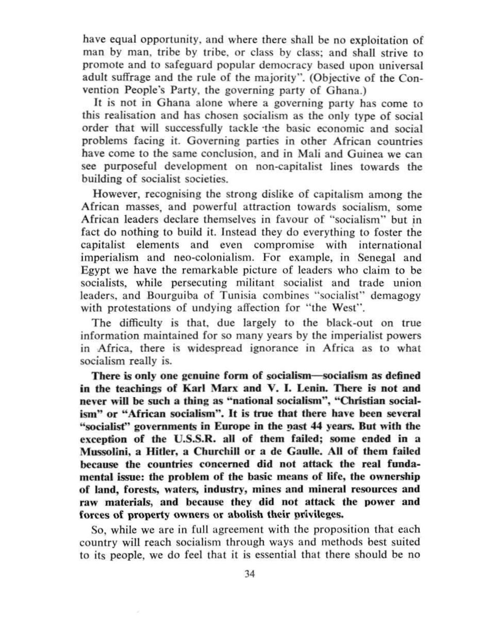have equal opportunity, and where there shall be no exploitation of man by man, tribe by tribe, or class by class; and shall strive to promote and to safeguard popular democracy based upon universal adult suffrage and the rule of the majority". (Objective of the Convention People's Party, the governing party of Ghana.)

It is not in Ghana alone where a governing party has come to this realisation and has chosen socialism as the only type of social order that will successfully tackle the basic economic and social problems facing it. Governing parties in other African countries have come to the same conclusion, and in Mali and Guinea we can see purposeful development on non-capitalist lines towards the building of socialist societies.

However, recognising the strong dislike of capitalism among the African masses, and powerful attraction towards socialism, some African leaders declare themselves in favour of "socialism" but in fact do nothing to build it. Instead they do everything to foster the capitalist elements and even compromise with international imperialism and neo-colonialism. For example, in Senegal and Egypt we have the remarkable picture of leaders who claim to be socialists, while persecuting militant socialist and trade union leaders, and Bourguiba of Tunisia combines "socialist" demagogy with protestations of undying affection for "the West".

The difficulty is that, due largely to the black-out on true information maintained for so many years by the imperialist powers in Africa, there is widespread ignorance in Africa as to what socialism really is.

There is only one genuine form of socialism—socialism as defined in the teachings of Karl Marx and V. I. Lenin. There is not and never will be such a thing as "national socialism", "Christian socialism" or "African socialism". It is true that there have been several "socialist" governments in Europe in the past 44 years. But with the exception of the U.S.S.R. all of them failed; some ended in a Mussolini, a Hitler, a Churchill or a de Gaulle. All of them failed because the countries concerned did not attack the real fundamental issue: the problem of the basic means of life, the ownership of land, forests, waters, industry, mines and mineral resources and raw materials, and because they did not attack the power and forces of property owners or abolish their privileges.

So, while we are in full agreement with the proposition that each country will reach socialism through ways and methods best suited to its people, we do feel that it is essential that there should be no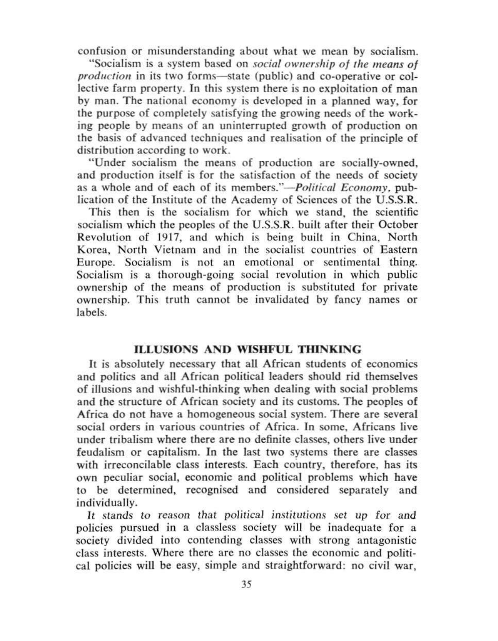confusion or misunderstanding about what we mean by socialism.

"Socialism is a system based on *social ownership of the means of production* in its two forms—state (public) and co-operative or collective farm property. In this system there is no exploitation of man by man. The national economy is developed in a planned way, for the purpose of completely satisfying the growing needs of the working people by means of an uninterrupted growth of production on the basis of advanced techniques and realisation of the principle of distribution according to work.

"Under socialism the means of production are socially-owned, and production itself is for the satisfaction of the needs of society as a whole and of each of its members."—*Political Economy,* publication of the Institute of the Academy of Sciences of the U.S.S.R.

This then is the socialism for which we stand, the scientific socialism which the peoples of the U.S.S.R. built after their October Revolution of 1917, and which is being built in China, North Korea, North Vietnam and in the socialist countries of Eastern Europe. Socialism is not an emotional or sentimental thing. Socialism is a thorough-going social revolution in which public ownership of the means of production is substituted for private ownership. This truth cannot be invalidated by fancy names or labels.

#### **ILLUSIONS AND WISHFUL THINKING**

It is absolutely necessary that all African students of economics and politics and all African political leaders should rid themselves of illusions and wishful-thinking when dealing with social problems and the structure of African society and its customs. The peoples of Africa do not have a homogeneous social system. There are several social orders in various countries of Africa. In some, Africans live under tribalism where there are no definite classes, others live under feudalism or capitalism. In the last two systems there are classes with irreconcilable class interests. Each country, therefore, has its own peculiar social, economic and political problems which have to be determined, recognised and considered separately and individually.

It stands to reason that political institutions set up for and policies pursued in a classless society will be inadequate for a society divided into contending classes with strong antagonistic class interests. Where there are no classes the economic and political policies will be easy, simple and straightforward: no civil war.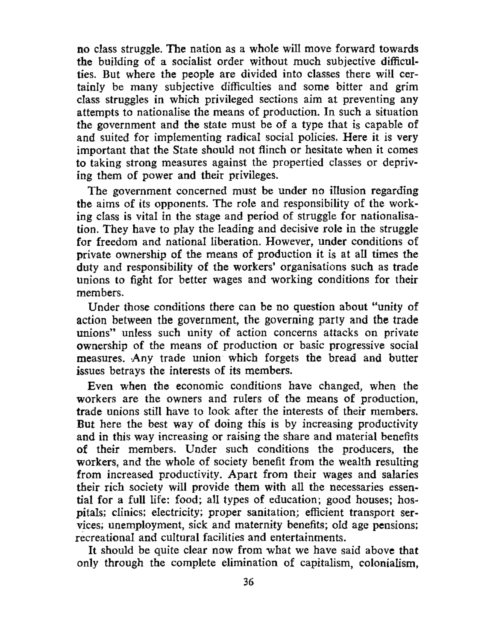no class struggle. The nation as a whole will move forward towards the building of a socialist order without much subjective difficulties. But where the people are divided into classes there will certainly be many subjective difficulties and some bitter and grim class struggles in which privileged sections aim at preventing any attempts to nationalise the means of production. In such a situation the government and the state must be of a type that is capable of and suited for implementing radical social policies. Here it is very important that the State should not flinch or hesitate when it comes to taking strong measures against the propertied classes or depriving them of power and their privileges.

The government concerned must be under no illusion regarding the aims of its opponents. The role and responsibility of the working class is vital in the stage and period of struggle for nationalisation. They have to play the leading and decisive role in the struggle for freedom and national liberation. However, under conditions of private ownership of the means of production it is at all times the duty and responsibility of the workers' organisations such as trade unions to fight for better wages and working conditions for their members.

Under those conditions there can be no question about "unity of action between the government, the governing party and the trade unions" unless such unity of action concerns attacks on private ownership of the means of production or basic progressive social measures. Any trade union which forgets the bread and butter issues betrays the interests of its members.

Even when the economic conditions have changed, when the workers are the owners and rulers of the means of production, trade unions still have to look after the interests of their members. But here the best way of doing this is by increasing productivity and in this way increasing or raising the share and material benefits of their members. Under such conditions the producers, the workers, and the whole of society benefit from the wealth resulting from increased productivity. Apart from their wages and salaries their rich society will provide them with all the necessaries essential for a full life: food; all types of education; good houses; hospitals; clinics; electricity; proper sanitation; efficient transport services; unemployment, sick and maternity benefits; old age pensions; recreational and cultural facilities and entertainments.

It should be quite clear now from what we have said above that only through the complete elimination of capitalism, colonialism,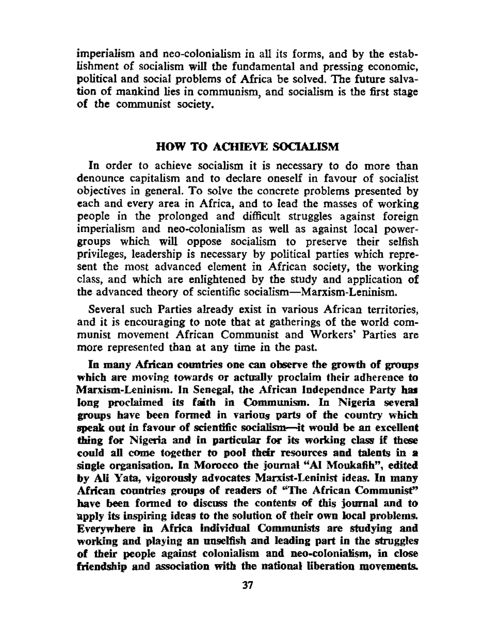imperialism and neo-colonialism in all its forms, and by the establishment of socialism will the fundamental and pressing economic, political and social problems of Africa be solved. The future salvation of mankind lies in communism, and socialism is the first stage of the communist society.

#### HOW TO ACHIEVE SOCIALISM

In order to achieve socialism it is necessary to do more than denounce capitalism and to declare oneself in favour of socialist objectives in general. To solve the concrete problems presented by each and every area in Africa, and to lead the masses of working people in the prolonged and difficult struggles against foreign imperialism and neo-colonialism as well as against local powergroups which will oppose socialism to preserve their selfish privileges, leadership is necessary by political parties which represent the most advanced element in African society, the working class, and which are enlightened by the study and application of the advanced theory of scientific socialism—Marxism-Leninism.

Several such Parties already exist in various African territories, and it is encouraging to note that at gatherings of the world communist movement African Communist and Workers' Parties are more represented than at any time in the past

In many African countries one can observe the growth of groups which are moving towards or actually proclaim their adherence to Marxism-Leninism. In Senegal, the African Independnce Party has long proclaimed its faith in Communism. In Nigeria several groups have been formed in various parts of the country which speak out in favour of scientific socialism—it would be an excellent thing for Nigeria and in particular for its working class if these could all come together to pool their resources and talents in a single organisation. In Morocco the journal "AI Moukafih", edited by AH Yata, vigorously advocates Marxist-Leninist ideas. In many African countries groups of readers of "The African Communist" have been formed to discuss the contents of this journal and to apply its inspiring ideas to the solution of their own local problems. Everywhere in Africa individual Communists are studying and working and playing an unselfish and leading part in the struggles of their people against colonialism and neo-colonialism, in close friendship and association with the national liberation movements.